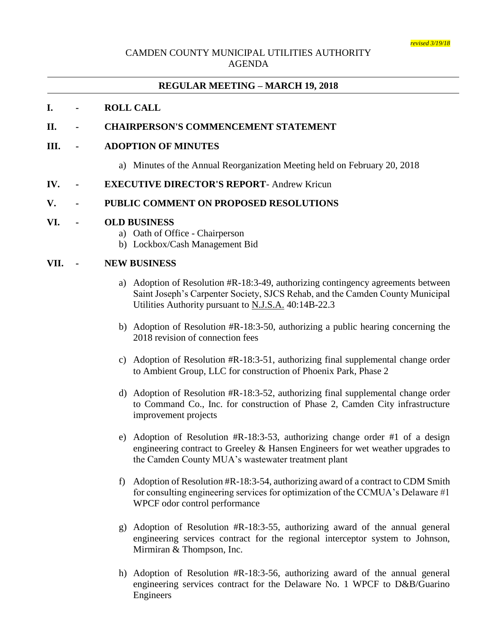## CAMDEN COUNTY MUNICIPAL UTILITIES AUTHORITY AGENDA

## **REGULAR MEETING – MARCH 19, 2018**

### **I. - ROLL CALL**

### **II. - CHAIRPERSON'S COMMENCEMENT STATEMENT**

#### **III. - ADOPTION OF MINUTES**

a) Minutes of the Annual Reorganization Meeting held on February 20, 2018

#### **IV. - EXECUTIVE DIRECTOR'S REPORT**- Andrew Kricun

### **V. - PUBLIC COMMENT ON PROPOSED RESOLUTIONS**

#### **VI. - OLD BUSINESS**

- a) Oath of Office Chairperson
- b) Lockbox/Cash Management Bid

#### **VII. - NEW BUSINESS**

- a) Adoption of Resolution #R-18:3-49, authorizing contingency agreements between Saint Joseph's Carpenter Society, SJCS Rehab, and the Camden County Municipal Utilities Authority pursuant to N.J.S.A. 40:14B-22.3
- b) Adoption of Resolution #R-18:3-50, authorizing a public hearing concerning the 2018 revision of connection fees
- c) Adoption of Resolution #R-18:3-51, authorizing final supplemental change order to Ambient Group, LLC for construction of Phoenix Park, Phase 2
- d) Adoption of Resolution #R-18:3-52, authorizing final supplemental change order to Command Co., Inc. for construction of Phase 2, Camden City infrastructure improvement projects
- e) Adoption of Resolution #R-18:3-53, authorizing change order #1 of a design engineering contract to Greeley & Hansen Engineers for wet weather upgrades to the Camden County MUA's wastewater treatment plant
- f) Adoption of Resolution #R-18:3-54, authorizing award of a contract to CDM Smith for consulting engineering services for optimization of the CCMUA's Delaware #1 WPCF odor control performance
- g) Adoption of Resolution #R-18:3-55, authorizing award of the annual general engineering services contract for the regional interceptor system to Johnson, Mirmiran & Thompson, Inc.
- h) Adoption of Resolution #R-18:3-56, authorizing award of the annual general engineering services contract for the Delaware No. 1 WPCF to D&B/Guarino Engineers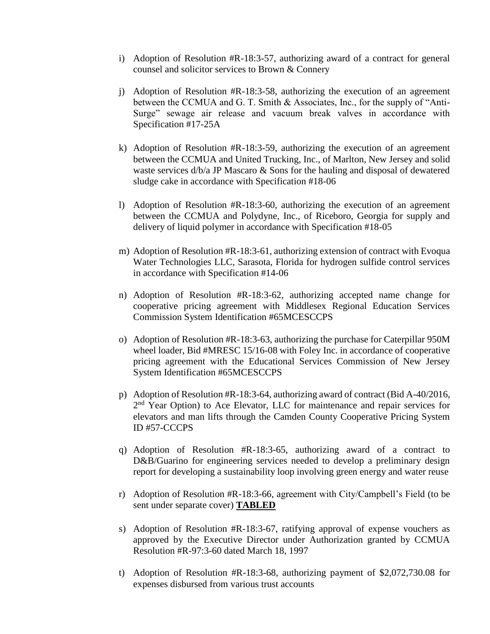- i) Adoption of Resolution #R-18:3-57, authorizing award of a contract for general counsel and solicitor services to Brown & Connery
- j) Adoption of Resolution #R-18:3-58, authorizing the execution of an agreement between the CCMUA and G. T. Smith & Associates, Inc., for the supply of "Anti-Surge" sewage air release and vacuum break valves in accordance with Specification #17-25A
- k) Adoption of Resolution #R-18:3-59, authorizing the execution of an agreement between the CCMUA and United Trucking, Inc., of Marlton, New Jersey and solid waste services  $d/b/a$  JP Mascaro & Sons for the hauling and disposal of dewatered sludge cake in accordance with Specification #18-06
- l) Adoption of Resolution #R-18:3-60, authorizing the execution of an agreement between the CCMUA and Polydyne, Inc., of Riceboro, Georgia for supply and delivery of liquid polymer in accordance with Specification #18-05
- m) Adoption of Resolution #R-18:3-61, authorizing extension of contract with Evoqua Water Technologies LLC, Sarasota, Florida for hydrogen sulfide control services in accordance with Specification #14-06
- n) Adoption of Resolution #R-18:3-62, authorizing accepted name change for cooperative pricing agreement with Middlesex Regional Education Services Commission System Identification #65MCESCCPS
- o) Adoption of Resolution #R-18:3-63, authorizing the purchase for Caterpillar 950M wheel loader, Bid #MRESC 15/16-08 with Foley Inc. in accordance of cooperative pricing agreement with the Educational Services Commission of New Jersey System Identification #65MCESCCPS
- p) Adoption of Resolution #R-18:3-64, authorizing award of contract (Bid A-40/2016, 2<sup>nd</sup> Year Option) to Ace Elevator, LLC for maintenance and repair services for elevators and man lifts through the Camden County Cooperative Pricing System ID #57-CCCPS
- q) Adoption of Resolution  $#R-18:3-65$ , authorizing award of a contract to D&B/Guarino for engineering services needed to develop a preliminary design report for developing a sustainability loop involving green energy and water reuse
- r) Adoption of Resolution #R-18:3-66, agreement with City/Campbell's Field (to be sent under separate cover) **TABLED**
- s) Adoption of Resolution #R-18:3-67, ratifying approval of expense vouchers as approved by the Executive Director under Authorization granted by CCMUA Resolution #R-97:3-60 dated March 18, 1997
- t) Adoption of Resolution #R-18:3-68, authorizing payment of \$2,072,730.08 for expenses disbursed from various trust accounts